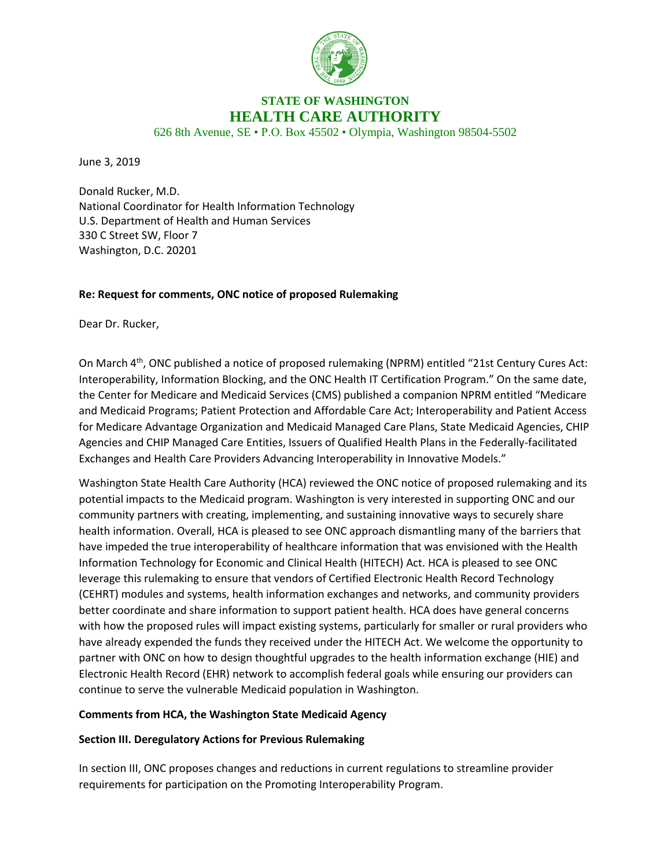

# **STATE OF WASHINGTON HEALTH CARE AUTHORITY**

626 8th Avenue, SE • P.O. Box 45502 • Olympia, Washington 98504-5502

June 3, 2019

Donald Rucker, M.D. National Coordinator for Health Information Technology U.S. Department of Health and Human Services 330 C Street SW, Floor 7 Washington, D.C. 20201

#### **Re: Request for comments, ONC notice of proposed Rulemaking**

Dear Dr. Rucker,

On March 4th, ONC published a notice of proposed rulemaking (NPRM) entitled "21st Century Cures Act: Interoperability, Information Blocking, and the ONC Health IT Certification Program." On the same date, the Center for Medicare and Medicaid Services (CMS) published a companion NPRM entitled "Medicare and Medicaid Programs; Patient Protection and Affordable Care Act; Interoperability and Patient Access for Medicare Advantage Organization and Medicaid Managed Care Plans, State Medicaid Agencies, CHIP Agencies and CHIP Managed Care Entities, Issuers of Qualified Health Plans in the Federally-facilitated Exchanges and Health Care Providers Advancing Interoperability in Innovative Models."

Washington State Health Care Authority (HCA) reviewed the ONC notice of proposed rulemaking and its potential impacts to the Medicaid program. Washington is very interested in supporting ONC and our community partners with creating, implementing, and sustaining innovative ways to securely share health information. Overall, HCA is pleased to see ONC approach dismantling many of the barriers that have impeded the true interoperability of healthcare information that was envisioned with the Health Information Technology for Economic and Clinical Health (HITECH) Act. HCA is pleased to see ONC leverage this rulemaking to ensure that vendors of Certified Electronic Health Record Technology (CEHRT) modules and systems, health information exchanges and networks, and community providers better coordinate and share information to support patient health. HCA does have general concerns with how the proposed rules will impact existing systems, particularly for smaller or rural providers who have already expended the funds they received under the HITECH Act. We welcome the opportunity to partner with ONC on how to design thoughtful upgrades to the health information exchange (HIE) and Electronic Health Record (EHR) network to accomplish federal goals while ensuring our providers can continue to serve the vulnerable Medicaid population in Washington.

#### **Comments from HCA, the Washington State Medicaid Agency**

#### **Section III. Deregulatory Actions for Previous Rulemaking**

In section III, ONC proposes changes and reductions in current regulations to streamline provider requirements for participation on the Promoting Interoperability Program.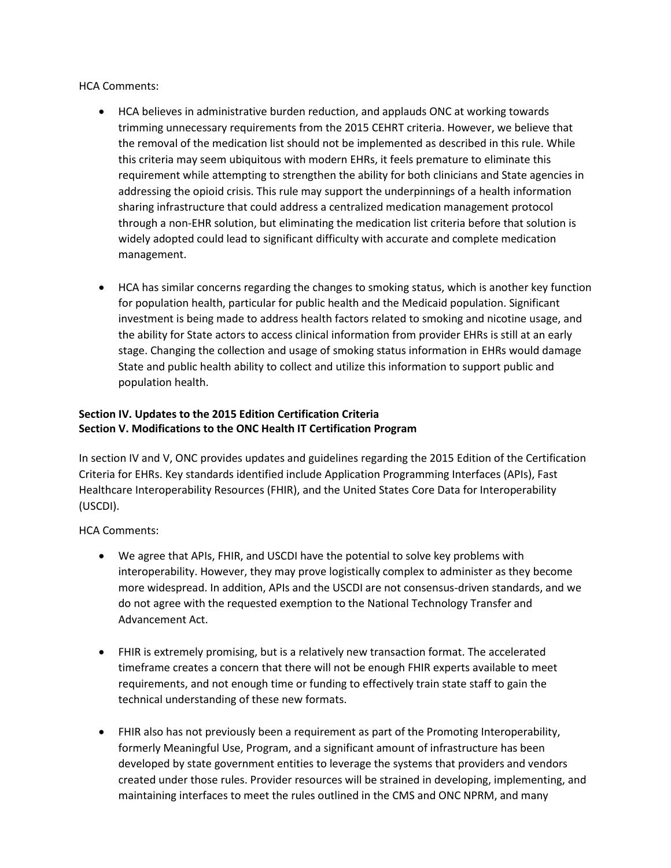HCA Comments:

- HCA believes in administrative burden reduction, and applauds ONC at working towards trimming unnecessary requirements from the 2015 CEHRT criteria. However, we believe that the removal of the medication list should not be implemented as described in this rule. While this criteria may seem ubiquitous with modern EHRs, it feels premature to eliminate this requirement while attempting to strengthen the ability for both clinicians and State agencies in addressing the opioid crisis. This rule may support the underpinnings of a health information sharing infrastructure that could address a centralized medication management protocol through a non-EHR solution, but eliminating the medication list criteria before that solution is widely adopted could lead to significant difficulty with accurate and complete medication management.
- HCA has similar concerns regarding the changes to smoking status, which is another key function for population health, particular for public health and the Medicaid population. Significant investment is being made to address health factors related to smoking and nicotine usage, and the ability for State actors to access clinical information from provider EHRs is still at an early stage. Changing the collection and usage of smoking status information in EHRs would damage State and public health ability to collect and utilize this information to support public and population health.

## **Section IV. Updates to the 2015 Edition Certification Criteria Section V. Modifications to the ONC Health IT Certification Program**

In section IV and V, ONC provides updates and guidelines regarding the 2015 Edition of the Certification Criteria for EHRs. Key standards identified include Application Programming Interfaces (APIs), Fast Healthcare Interoperability Resources (FHIR), and the United States Core Data for Interoperability (USCDI).

HCA Comments:

- We agree that APIs, FHIR, and USCDI have the potential to solve key problems with interoperability. However, they may prove logistically complex to administer as they become more widespread. In addition, APIs and the USCDI are not consensus-driven standards, and we do not agree with the requested exemption to the National Technology Transfer and Advancement Act.
- FHIR is extremely promising, but is a relatively new transaction format. The accelerated timeframe creates a concern that there will not be enough FHIR experts available to meet requirements, and not enough time or funding to effectively train state staff to gain the technical understanding of these new formats.
- FHIR also has not previously been a requirement as part of the Promoting Interoperability, formerly Meaningful Use, Program, and a significant amount of infrastructure has been developed by state government entities to leverage the systems that providers and vendors created under those rules. Provider resources will be strained in developing, implementing, and maintaining interfaces to meet the rules outlined in the CMS and ONC NPRM, and many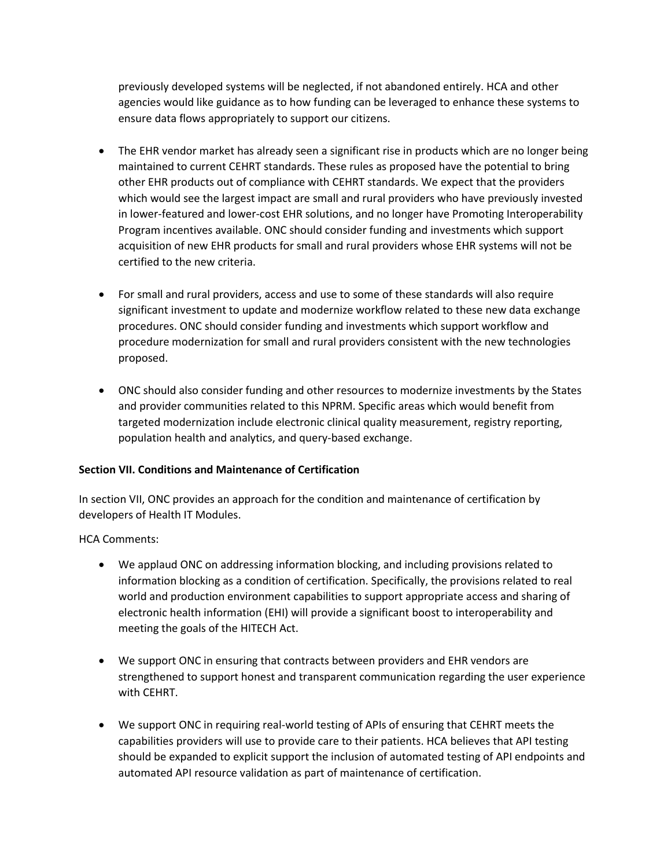previously developed systems will be neglected, if not abandoned entirely. HCA and other agencies would like guidance as to how funding can be leveraged to enhance these systems to ensure data flows appropriately to support our citizens.

- The EHR vendor market has already seen a significant rise in products which are no longer being maintained to current CEHRT standards. These rules as proposed have the potential to bring other EHR products out of compliance with CEHRT standards. We expect that the providers which would see the largest impact are small and rural providers who have previously invested in lower-featured and lower-cost EHR solutions, and no longer have Promoting Interoperability Program incentives available. ONC should consider funding and investments which support acquisition of new EHR products for small and rural providers whose EHR systems will not be certified to the new criteria.
- For small and rural providers, access and use to some of these standards will also require significant investment to update and modernize workflow related to these new data exchange procedures. ONC should consider funding and investments which support workflow and procedure modernization for small and rural providers consistent with the new technologies proposed.
- ONC should also consider funding and other resources to modernize investments by the States and provider communities related to this NPRM. Specific areas which would benefit from targeted modernization include electronic clinical quality measurement, registry reporting, population health and analytics, and query-based exchange.

#### **Section VII. Conditions and Maintenance of Certification**

In section VII, ONC provides an approach for the condition and maintenance of certification by developers of Health IT Modules.

## HCA Comments:

- We applaud ONC on addressing information blocking, and including provisions related to information blocking as a condition of certification. Specifically, the provisions related to real world and production environment capabilities to support appropriate access and sharing of electronic health information (EHI) will provide a significant boost to interoperability and meeting the goals of the HITECH Act.
- We support ONC in ensuring that contracts between providers and EHR vendors are strengthened to support honest and transparent communication regarding the user experience with CEHRT.
- We support ONC in requiring real-world testing of APIs of ensuring that CEHRT meets the capabilities providers will use to provide care to their patients. HCA believes that API testing should be expanded to explicit support the inclusion of automated testing of API endpoints and automated API resource validation as part of maintenance of certification.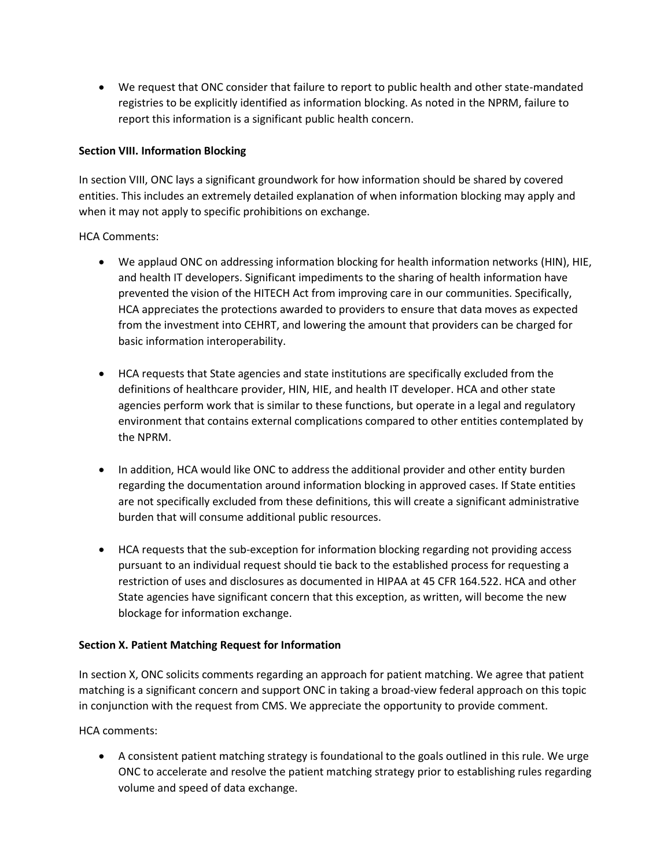We request that ONC consider that failure to report to public health and other state-mandated registries to be explicitly identified as information blocking. As noted in the NPRM, failure to report this information is a significant public health concern.

#### **Section VIII. Information Blocking**

In section VIII, ONC lays a significant groundwork for how information should be shared by covered entities. This includes an extremely detailed explanation of when information blocking may apply and when it may not apply to specific prohibitions on exchange.

#### HCA Comments:

- We applaud ONC on addressing information blocking for health information networks (HIN), HIE, and health IT developers. Significant impediments to the sharing of health information have prevented the vision of the HITECH Act from improving care in our communities. Specifically, HCA appreciates the protections awarded to providers to ensure that data moves as expected from the investment into CEHRT, and lowering the amount that providers can be charged for basic information interoperability.
- HCA requests that State agencies and state institutions are specifically excluded from the definitions of healthcare provider, HIN, HIE, and health IT developer. HCA and other state agencies perform work that is similar to these functions, but operate in a legal and regulatory environment that contains external complications compared to other entities contemplated by the NPRM.
- In addition, HCA would like ONC to address the additional provider and other entity burden regarding the documentation around information blocking in approved cases. If State entities are not specifically excluded from these definitions, this will create a significant administrative burden that will consume additional public resources.
- HCA requests that the sub-exception for information blocking regarding not providing access pursuant to an individual request should tie back to the established process for requesting a restriction of uses and disclosures as documented in HIPAA at 45 CFR 164.522. HCA and other State agencies have significant concern that this exception, as written, will become the new blockage for information exchange.

## **Section X. Patient Matching Request for Information**

In section X, ONC solicits comments regarding an approach for patient matching. We agree that patient matching is a significant concern and support ONC in taking a broad-view federal approach on this topic in conjunction with the request from CMS. We appreciate the opportunity to provide comment.

HCA comments:

 A consistent patient matching strategy is foundational to the goals outlined in this rule. We urge ONC to accelerate and resolve the patient matching strategy prior to establishing rules regarding volume and speed of data exchange.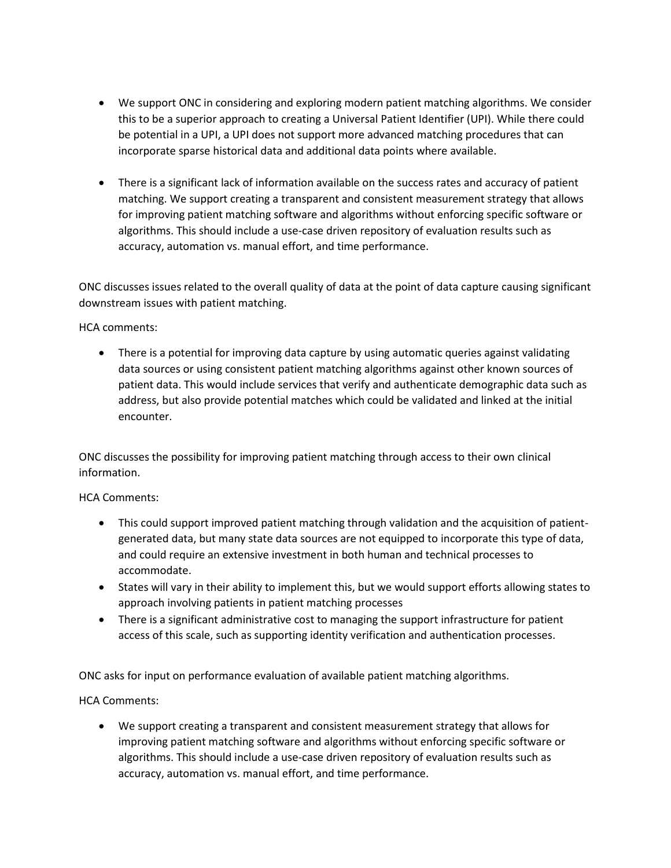- We support ONC in considering and exploring modern patient matching algorithms. We consider this to be a superior approach to creating a Universal Patient Identifier (UPI). While there could be potential in a UPI, a UPI does not support more advanced matching procedures that can incorporate sparse historical data and additional data points where available.
- There is a significant lack of information available on the success rates and accuracy of patient matching. We support creating a transparent and consistent measurement strategy that allows for improving patient matching software and algorithms without enforcing specific software or algorithms. This should include a use-case driven repository of evaluation results such as accuracy, automation vs. manual effort, and time performance.

ONC discusses issues related to the overall quality of data at the point of data capture causing significant downstream issues with patient matching.

HCA comments:

 There is a potential for improving data capture by using automatic queries against validating data sources or using consistent patient matching algorithms against other known sources of patient data. This would include services that verify and authenticate demographic data such as address, but also provide potential matches which could be validated and linked at the initial encounter.

ONC discusses the possibility for improving patient matching through access to their own clinical information.

## HCA Comments:

- This could support improved patient matching through validation and the acquisition of patientgenerated data, but many state data sources are not equipped to incorporate this type of data, and could require an extensive investment in both human and technical processes to accommodate.
- States will vary in their ability to implement this, but we would support efforts allowing states to approach involving patients in patient matching processes
- There is a significant administrative cost to managing the support infrastructure for patient access of this scale, such as supporting identity verification and authentication processes.

ONC asks for input on performance evaluation of available patient matching algorithms.

HCA Comments:

 We support creating a transparent and consistent measurement strategy that allows for improving patient matching software and algorithms without enforcing specific software or algorithms. This should include a use-case driven repository of evaluation results such as accuracy, automation vs. manual effort, and time performance.